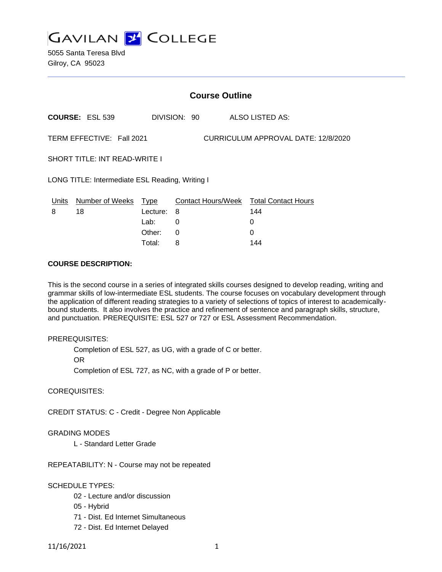

5055 Santa Teresa Blvd Gilroy, CA 95023

|                                                                  | <b>Course Outline</b>                           |                  |              |  |                                               |  |
|------------------------------------------------------------------|-------------------------------------------------|------------------|--------------|--|-----------------------------------------------|--|
|                                                                  | <b>COURSE: ESL 539</b>                          |                  | DIVISION: 90 |  | ALSO LISTED AS:                               |  |
| TERM EFFECTIVE: Fall 2021<br>CURRICULUM APPROVAL DATE: 12/8/2020 |                                                 |                  |              |  |                                               |  |
| <b>SHORT TITLE: INT READ-WRITE I</b>                             |                                                 |                  |              |  |                                               |  |
|                                                                  | LONG TITLE: Intermediate ESL Reading, Writing I |                  |              |  |                                               |  |
| Units<br>8                                                       | Number of Weeks<br>18                           | Type<br>Lecture: | - 8          |  | Contact Hours/Week Total Contact Hours<br>144 |  |
|                                                                  |                                                 | Lab:             | 0            |  | 0                                             |  |
|                                                                  |                                                 | Other:           | 0            |  | 0                                             |  |

Total: 8 144

### **COURSE DESCRIPTION:**

This is the second course in a series of integrated skills courses designed to develop reading, writing and grammar skills of low-intermediate ESL students. The course focuses on vocabulary development through the application of different reading strategies to a variety of selections of topics of interest to academicallybound students. It also involves the practice and refinement of sentence and paragraph skills, structure, and punctuation. PREREQUISITE: ESL 527 or 727 or ESL Assessment Recommendation.

#### PREREQUISITES:

Completion of ESL 527, as UG, with a grade of C or better.

OR

Completion of ESL 727, as NC, with a grade of P or better.

COREQUISITES:

CREDIT STATUS: C - Credit - Degree Non Applicable

#### GRADING MODES

L - Standard Letter Grade

REPEATABILITY: N - Course may not be repeated

### SCHEDULE TYPES:

- 02 Lecture and/or discussion
- 05 Hybrid
- 71 Dist. Ed Internet Simultaneous
- 72 Dist. Ed Internet Delayed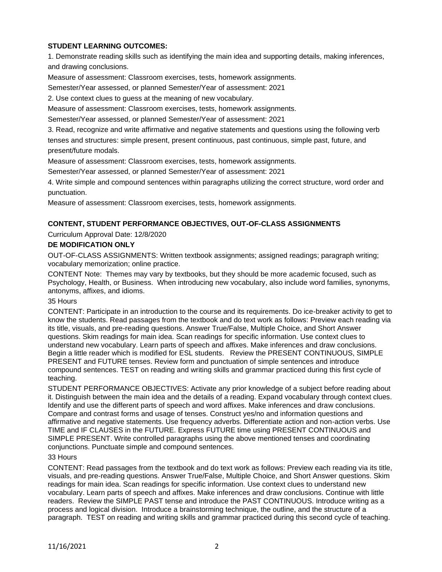## **STUDENT LEARNING OUTCOMES:**

1. Demonstrate reading skills such as identifying the main idea and supporting details, making inferences, and drawing conclusions.

Measure of assessment: Classroom exercises, tests, homework assignments.

Semester/Year assessed, or planned Semester/Year of assessment: 2021

2. Use context clues to guess at the meaning of new vocabulary.

Measure of assessment: Classroom exercises, tests, homework assignments.

Semester/Year assessed, or planned Semester/Year of assessment: 2021

3. Read, recognize and write affirmative and negative statements and questions using the following verb tenses and structures: simple present, present continuous, past continuous, simple past, future, and present/future modals.

Measure of assessment: Classroom exercises, tests, homework assignments.

Semester/Year assessed, or planned Semester/Year of assessment: 2021

4. Write simple and compound sentences within paragraphs utilizing the correct structure, word order and punctuation.

Measure of assessment: Classroom exercises, tests, homework assignments.

## **CONTENT, STUDENT PERFORMANCE OBJECTIVES, OUT-OF-CLASS ASSIGNMENTS**

Curriculum Approval Date: 12/8/2020

### **DE MODIFICATION ONLY**

OUT-OF-CLASS ASSIGNMENTS: Written textbook assignments; assigned readings; paragraph writing; vocabulary memorization; online practice.

CONTENT Note: Themes may vary by textbooks, but they should be more academic focused, such as Psychology, Health, or Business. When introducing new vocabulary, also include word families, synonyms, antonyms, affixes, and idioms.

#### 35 Hours

CONTENT: Participate in an introduction to the course and its requirements. Do ice-breaker activity to get to know the students. Read passages from the textbook and do text work as follows: Preview each reading via its title, visuals, and pre-reading questions. Answer True/False, Multiple Choice, and Short Answer questions. Skim readings for main idea. Scan readings for specific information. Use context clues to understand new vocabulary. Learn parts of speech and affixes. Make inferences and draw conclusions. Begin a little reader which is modified for ESL students. Review the PRESENT CONTINUOUS, SIMPLE PRESENT and FUTURE tenses. Review form and punctuation of simple sentences and introduce compound sentences. TEST on reading and writing skills and grammar practiced during this first cycle of teaching.

STUDENT PERFORMANCE OBJECTIVES: Activate any prior knowledge of a subject before reading about it. Distinguish between the main idea and the details of a reading. Expand vocabulary through context clues. Identify and use the different parts of speech and word affixes. Make inferences and draw conclusions. Compare and contrast forms and usage of tenses. Construct yes/no and information questions and affirmative and negative statements. Use frequency adverbs. Differentiate action and non-action verbs. Use TIME and IF CLAUSES in the FUTURE. Express FUTURE time using PRESENT CONTINUOUS and SIMPLE PRESENT. Write controlled paragraphs using the above mentioned tenses and coordinating conjunctions. Punctuate simple and compound sentences.

#### 33 Hours

CONTENT: Read passages from the textbook and do text work as follows: Preview each reading via its title, visuals, and pre-reading questions. Answer True/False, Multiple Choice, and Short Answer questions. Skim readings for main idea. Scan readings for specific information. Use context clues to understand new vocabulary. Learn parts of speech and affixes. Make inferences and draw conclusions. Continue with little readers. Review the SIMPLE PAST tense and introduce the PAST CONTINUOUS. Introduce writing as a process and logical division. Introduce a brainstorming technique, the outline, and the structure of a paragraph. TEST on reading and writing skills and grammar practiced during this second cycle of teaching.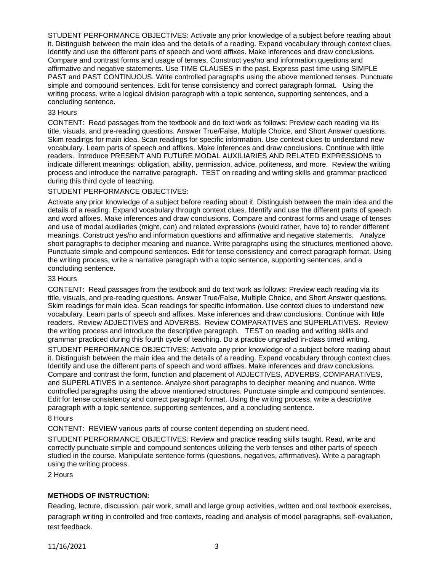STUDENT PERFORMANCE OBJECTIVES: Activate any prior knowledge of a subject before reading about it. Distinguish between the main idea and the details of a reading. Expand vocabulary through context clues. Identify and use the different parts of speech and word affixes. Make inferences and draw conclusions. Compare and contrast forms and usage of tenses. Construct yes/no and information questions and affirmative and negative statements. Use TIME CLAUSES in the past. Express past time using SIMPLE PAST and PAST CONTINUOUS. Write controlled paragraphs using the above mentioned tenses. Punctuate simple and compound sentences. Edit for tense consistency and correct paragraph format. Using the writing process, write a logical division paragraph with a topic sentence, supporting sentences, and a concluding sentence.

#### 33 Hours

CONTENT: Read passages from the textbook and do text work as follows: Preview each reading via its title, visuals, and pre-reading questions. Answer True/False, Multiple Choice, and Short Answer questions. Skim readings for main idea. Scan readings for specific information. Use context clues to understand new vocabulary. Learn parts of speech and affixes. Make inferences and draw conclusions. Continue with little readers. Introduce PRESENT AND FUTURE MODAL AUXILIARIES AND RELATED EXPRESSIONS to indicate different meanings: obligation, ability, permission, advice, politeness, and more. Review the writing process and introduce the narrative paragraph. TEST on reading and writing skills and grammar practiced during this third cycle of teaching.

### STUDENT PERFORMANCE OBJECTIVES:

Activate any prior knowledge of a subject before reading about it. Distinguish between the main idea and the details of a reading. Expand vocabulary through context clues. Identify and use the different parts of speech and word affixes. Make inferences and draw conclusions. Compare and contrast forms and usage of tenses and use of modal auxiliaries (might, can) and related expressions (would rather, have to) to render different meanings. Construct yes/no and information questions and affirmative and negative statements. Analyze short paragraphs to decipher meaning and nuance. Write paragraphs using the structures mentioned above. Punctuate simple and compound sentences. Edit for tense consistency and correct paragraph format. Using the writing process, write a narrative paragraph with a topic sentence, supporting sentences, and a concluding sentence.

#### 33 Hours

CONTENT: Read passages from the textbook and do text work as follows: Preview each reading via its title, visuals, and pre-reading questions. Answer True/False, Multiple Choice, and Short Answer questions. Skim readings for main idea. Scan readings for specific information. Use context clues to understand new vocabulary. Learn parts of speech and affixes. Make inferences and draw conclusions. Continue with little readers. Review ADJECTIVES and ADVERBS. Review COMPARATIVES and SUPERLATIVES. Review the writing process and introduce the descriptive paragraph. TEST on reading and writing skills and grammar practiced during this fourth cycle of teaching. Do a practice ungraded in-class timed writing.

STUDENT PERFORMANCE OBJECTIVES: Activate any prior knowledge of a subject before reading about it. Distinguish between the main idea and the details of a reading. Expand vocabulary through context clues. Identify and use the different parts of speech and word affixes. Make inferences and draw conclusions. Compare and contrast the form, function and placement of ADJECTIVES, ADVERBS, COMPARATIVES, and SUPERLATIVES in a sentence. Analyze short paragraphs to decipher meaning and nuance. Write controlled paragraphs using the above mentioned structures. Punctuate simple and compound sentences. Edit for tense consistency and correct paragraph format. Using the writing process, write a descriptive paragraph with a topic sentence, supporting sentences, and a concluding sentence.

### 8 Hours

CONTENT: REVIEW various parts of course content depending on student need.

STUDENT PERFORMANCE OBJECTIVES: Review and practice reading skills taught. Read, write and correctly punctuate simple and compound sentences utilizing the verb tenses and other parts of speech studied in the course. Manipulate sentence forms (questions, negatives, affirmatives). Write a paragraph using the writing process.

2 Hours

### **METHODS OF INSTRUCTION:**

Reading, lecture, discussion, pair work, small and large group activities, written and oral textbook exercises, paragraph writing in controlled and free contexts, reading and analysis of model paragraphs, self-evaluation, test feedback.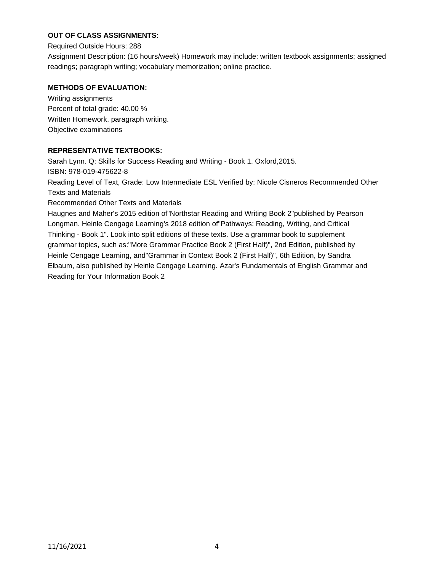# **OUT OF CLASS ASSIGNMENTS**:

Required Outside Hours: 288

Assignment Description: (16 hours/week) Homework may include: written textbook assignments; assigned readings; paragraph writing; vocabulary memorization; online practice.

### **METHODS OF EVALUATION:**

Writing assignments Percent of total grade: 40.00 % Written Homework, paragraph writing. Objective examinations

## **REPRESENTATIVE TEXTBOOKS:**

Sarah Lynn. Q: Skills for Success Reading and Writing - Book 1. Oxford,2015. ISBN: 978-019-475622-8 Reading Level of Text, Grade: Low Intermediate ESL Verified by: Nicole Cisneros Recommended Other Texts and Materials Recommended Other Texts and Materials Haugnes and Maher's 2015 edition of"Northstar Reading and Writing Book 2"published by Pearson Longman. Heinle Cengage Learning's 2018 edition of"Pathways: Reading, Writing, and Critical Thinking - Book 1". Look into split editions of these texts. Use a grammar book to supplement grammar topics, such as:"More Grammar Practice Book 2 (First Half)", 2nd Edition, published by Heinle Cengage Learning, and"Grammar in Context Book 2 (First Half)", 6th Edition, by Sandra Elbaum, also published by Heinle Cengage Learning. Azar's Fundamentals of English Grammar and

Reading for Your Information Book 2